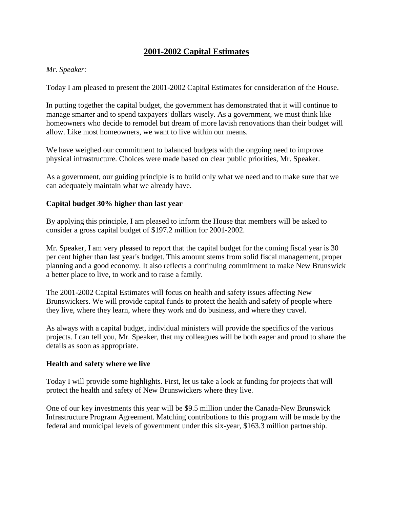# **2001-2002 Capital Estimates**

#### *Mr. Speaker:*

Today I am pleased to present the 2001-2002 Capital Estimates for consideration of the House.

In putting together the capital budget, the government has demonstrated that it will continue to manage smarter and to spend taxpayers' dollars wisely. As a government, we must think like homeowners who decide to remodel but dream of more lavish renovations than their budget will allow. Like most homeowners, we want to live within our means.

We have weighed our commitment to balanced budgets with the ongoing need to improve physical infrastructure. Choices were made based on clear public priorities, Mr. Speaker.

As a government, our guiding principle is to build only what we need and to make sure that we can adequately maintain what we already have.

### **Capital budget 30% higher than last year**

By applying this principle, I am pleased to inform the House that members will be asked to consider a gross capital budget of \$197.2 million for 2001-2002.

Mr. Speaker, I am very pleased to report that the capital budget for the coming fiscal year is 30 per cent higher than last year's budget. This amount stems from solid fiscal management, proper planning and a good economy. It also reflects a continuing commitment to make New Brunswick a better place to live, to work and to raise a family.

The 2001-2002 Capital Estimates will focus on health and safety issues affecting New Brunswickers. We will provide capital funds to protect the health and safety of people where they live, where they learn, where they work and do business, and where they travel.

As always with a capital budget, individual ministers will provide the specifics of the various projects. I can tell you, Mr. Speaker, that my colleagues will be both eager and proud to share the details as soon as appropriate.

#### **Health and safety where we live**

Today I will provide some highlights. First, let us take a look at funding for projects that will protect the health and safety of New Brunswickers where they live.

One of our key investments this year will be \$9.5 million under the Canada-New Brunswick Infrastructure Program Agreement. Matching contributions to this program will be made by the federal and municipal levels of government under this six-year, \$163.3 million partnership.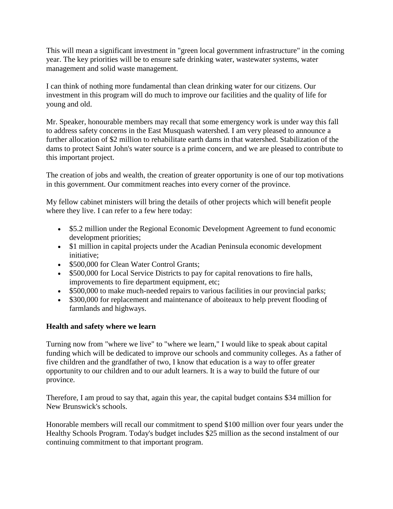This will mean a significant investment in "green local government infrastructure" in the coming year. The key priorities will be to ensure safe drinking water, wastewater systems, water management and solid waste management.

I can think of nothing more fundamental than clean drinking water for our citizens. Our investment in this program will do much to improve our facilities and the quality of life for young and old.

Mr. Speaker, honourable members may recall that some emergency work is under way this fall to address safety concerns in the East Musquash watershed. I am very pleased to announce a further allocation of \$2 million to rehabilitate earth dams in that watershed. Stabilization of the dams to protect Saint John's water source is a prime concern, and we are pleased to contribute to this important project.

The creation of jobs and wealth, the creation of greater opportunity is one of our top motivations in this government. Our commitment reaches into every corner of the province.

My fellow cabinet ministers will bring the details of other projects which will benefit people where they live. I can refer to a few here today:

- \$5.2 million under the Regional Economic Development Agreement to fund economic development priorities;
- \$1 million in capital projects under the Acadian Peninsula economic development initiative;
- \$500,000 for Clean Water Control Grants;
- \$500,000 for Local Service Districts to pay for capital renovations to fire halls, improvements to fire department equipment, etc;
- \$500,000 to make much-needed repairs to various facilities in our provincial parks;
- \$300,000 for replacement and maintenance of aboiteaux to help prevent flooding of farmlands and highways.

# **Health and safety where we learn**

Turning now from "where we live" to "where we learn," I would like to speak about capital funding which will be dedicated to improve our schools and community colleges. As a father of five children and the grandfather of two, I know that education is a way to offer greater opportunity to our children and to our adult learners. It is a way to build the future of our province.

Therefore, I am proud to say that, again this year, the capital budget contains \$34 million for New Brunswick's schools.

Honorable members will recall our commitment to spend \$100 million over four years under the Healthy Schools Program. Today's budget includes \$25 million as the second instalment of our continuing commitment to that important program.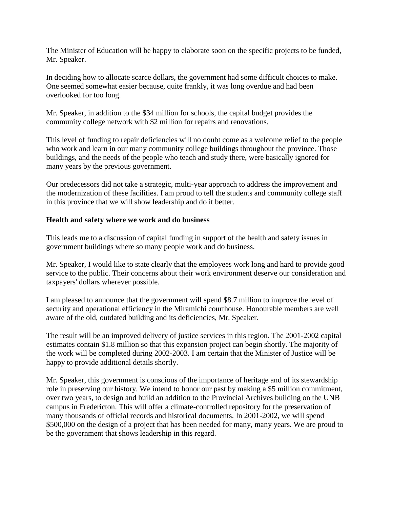The Minister of Education will be happy to elaborate soon on the specific projects to be funded, Mr. Speaker.

In deciding how to allocate scarce dollars, the government had some difficult choices to make. One seemed somewhat easier because, quite frankly, it was long overdue and had been overlooked for too long.

Mr. Speaker, in addition to the \$34 million for schools, the capital budget provides the community college network with \$2 million for repairs and renovations.

This level of funding to repair deficiencies will no doubt come as a welcome relief to the people who work and learn in our many community college buildings throughout the province. Those buildings, and the needs of the people who teach and study there, were basically ignored for many years by the previous government.

Our predecessors did not take a strategic, multi-year approach to address the improvement and the modernization of these facilities. I am proud to tell the students and community college staff in this province that we will show leadership and do it better.

### **Health and safety where we work and do business**

This leads me to a discussion of capital funding in support of the health and safety issues in government buildings where so many people work and do business.

Mr. Speaker, I would like to state clearly that the employees work long and hard to provide good service to the public. Their concerns about their work environment deserve our consideration and taxpayers' dollars wherever possible.

I am pleased to announce that the government will spend \$8.7 million to improve the level of security and operational efficiency in the Miramichi courthouse. Honourable members are well aware of the old, outdated building and its deficiencies, Mr. Speaker.

The result will be an improved delivery of justice services in this region. The 2001-2002 capital estimates contain \$1.8 million so that this expansion project can begin shortly. The majority of the work will be completed during 2002-2003. I am certain that the Minister of Justice will be happy to provide additional details shortly.

Mr. Speaker, this government is conscious of the importance of heritage and of its stewardship role in preserving our history. We intend to honor our past by making a \$5 million commitment, over two years, to design and build an addition to the Provincial Archives building on the UNB campus in Fredericton. This will offer a climate-controlled repository for the preservation of many thousands of official records and historical documents. In 2001-2002, we will spend \$500,000 on the design of a project that has been needed for many, many years. We are proud to be the government that shows leadership in this regard.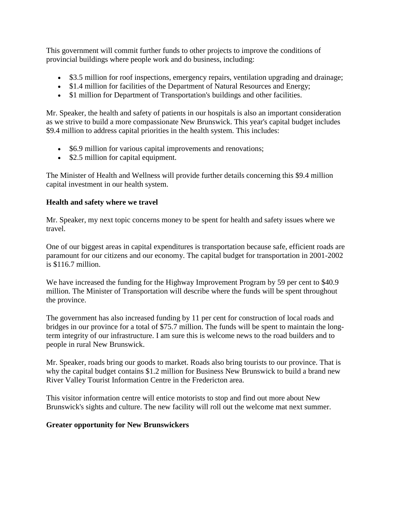This government will commit further funds to other projects to improve the conditions of provincial buildings where people work and do business, including:

- \$3.5 million for roof inspections, emergency repairs, ventilation upgrading and drainage;
- \$1.4 million for facilities of the Department of Natural Resources and Energy;
- \$1 million for Department of Transportation's buildings and other facilities.

Mr. Speaker, the health and safety of patients in our hospitals is also an important consideration as we strive to build a more compassionate New Brunswick. This year's capital budget includes \$9.4 million to address capital priorities in the health system. This includes:

- \$6.9 million for various capital improvements and renovations;
- \$2.5 million for capital equipment.

The Minister of Health and Wellness will provide further details concerning this \$9.4 million capital investment in our health system.

# **Health and safety where we travel**

Mr. Speaker, my next topic concerns money to be spent for health and safety issues where we travel.

One of our biggest areas in capital expenditures is transportation because safe, efficient roads are paramount for our citizens and our economy. The capital budget for transportation in 2001-2002 is \$116.7 million.

We have increased the funding for the Highway Improvement Program by 59 per cent to \$40.9 million. The Minister of Transportation will describe where the funds will be spent throughout the province.

The government has also increased funding by 11 per cent for construction of local roads and bridges in our province for a total of \$75.7 million. The funds will be spent to maintain the longterm integrity of our infrastructure. I am sure this is welcome news to the road builders and to people in rural New Brunswick.

Mr. Speaker, roads bring our goods to market. Roads also bring tourists to our province. That is why the capital budget contains \$1.2 million for Business New Brunswick to build a brand new River Valley Tourist Information Centre in the Fredericton area.

This visitor information centre will entice motorists to stop and find out more about New Brunswick's sights and culture. The new facility will roll out the welcome mat next summer.

# **Greater opportunity for New Brunswickers**